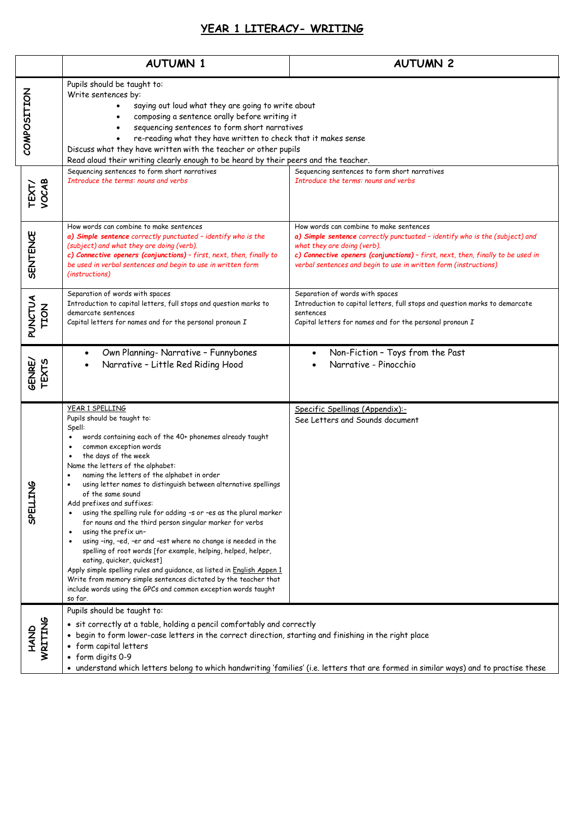## **YEAR 1 LITERACY- WRITING**

|                               | <b>AUTUMN 1</b>                                                                                                                                                                                                                                                                                                                                                                                                                                                                                                                                                                                                                                                                                                                                                                                                                                                                                                                                                                                                    | <b>AUTUMN 2</b>                                                                                                                                                                                                                                                                                              |
|-------------------------------|--------------------------------------------------------------------------------------------------------------------------------------------------------------------------------------------------------------------------------------------------------------------------------------------------------------------------------------------------------------------------------------------------------------------------------------------------------------------------------------------------------------------------------------------------------------------------------------------------------------------------------------------------------------------------------------------------------------------------------------------------------------------------------------------------------------------------------------------------------------------------------------------------------------------------------------------------------------------------------------------------------------------|--------------------------------------------------------------------------------------------------------------------------------------------------------------------------------------------------------------------------------------------------------------------------------------------------------------|
| COMPOSITION                   | Pupils should be taught to:<br>Write sentences by:<br>saying out loud what they are going to write about<br>composing a sentence orally before writing it<br>sequencing sentences to form short narratives<br>re-reading what they have written to check that it makes sense<br>Discuss what they have written with the teacher or other pupils<br>Read aloud their writing clearly enough to be heard by their peers and the teacher.                                                                                                                                                                                                                                                                                                                                                                                                                                                                                                                                                                             |                                                                                                                                                                                                                                                                                                              |
| TEXT/<br>VOCAB                | Sequencing sentences to form short narratives<br>Introduce the terms: nouns and verbs                                                                                                                                                                                                                                                                                                                                                                                                                                                                                                                                                                                                                                                                                                                                                                                                                                                                                                                              | Sequencing sentences to form short narratives<br>Introduce the terms: nouns and verbs                                                                                                                                                                                                                        |
| <b>SENTENCE</b>               | How words can combine to make sentences<br>a) Simple sentence correctly punctuated - identify who is the<br>(subject) and what they are doing (verb).<br>c) Connective openers (conjunctions) - first, next, then, finally to<br>be used in verbal sentences and begin to use in written form<br>(instructions)                                                                                                                                                                                                                                                                                                                                                                                                                                                                                                                                                                                                                                                                                                    | How words can combine to make sentences<br>a) Simple sentence correctly punctuated - identify who is the (subject) and<br>what they are doing (verb).<br>c) Connective openers (conjunctions) - first, next, then, finally to be used in<br>verbal sentences and begin to use in written form (instructions) |
| <b>PUNCTUA</b><br><b>TION</b> | Separation of words with spaces<br>Introduction to capital letters, full stops and question marks to<br>demarcate sentences<br>Capital letters for names and for the personal pronoun I                                                                                                                                                                                                                                                                                                                                                                                                                                                                                                                                                                                                                                                                                                                                                                                                                            | Separation of words with spaces<br>Introduction to capital letters, full stops and question marks to demarcate<br>sentences<br>Capital letters for names and for the personal pronoun I                                                                                                                      |
| GENRE/<br>TEXTS               | Own Planning- Narrative - Funnybones<br>Narrative - Little Red Riding Hood                                                                                                                                                                                                                                                                                                                                                                                                                                                                                                                                                                                                                                                                                                                                                                                                                                                                                                                                         | Non-Fiction - Toys from the Past<br>Narrative - Pinocchio                                                                                                                                                                                                                                                    |
| w<br>SPELLIN                  | YEAR 1 SPELLING<br>Pupils should be taught to:<br>Spell:<br>words containing each of the 40+ phonemes already taught<br>$\bullet$<br>common exception words<br>$\bullet$<br>the days of the week<br>$\bullet$<br>Name the letters of the alphabet:<br>naming the letters of the alphabet in order<br>using letter names to distinguish between alternative spellings<br>of the same sound<br>Add prefixes and suffixes:<br>using the spelling rule for adding -s or -es as the plural marker<br>$\bullet$<br>for nouns and the third person singular marker for verbs<br>using the prefix un-<br>$\bullet$<br>using -ing, -ed, -er and -est where no change is needed in the<br>$\bullet$<br>spelling of root words [for example, helping, helped, helper,<br>eating, quicker, quickest]<br>Apply simple spelling rules and guidance, as listed in English Appen 1<br>Write from memory simple sentences dictated by the teacher that<br>include words using the GPCs and common exception words taught<br>so far. | Specific Spellings (Appendix):-<br>See Letters and Sounds document                                                                                                                                                                                                                                           |
| HAND<br>WRITING               | Pupils should be taught to:<br>• sit correctly at a table, holding a pencil comfortably and correctly<br>• begin to form lower-case letters in the correct direction, starting and finishing in the right place<br>• form capital letters<br>• form digits 0-9<br>• understand which letters belong to which handwriting 'families' (i.e. letters that are formed in similar ways) and to practise these                                                                                                                                                                                                                                                                                                                                                                                                                                                                                                                                                                                                           |                                                                                                                                                                                                                                                                                                              |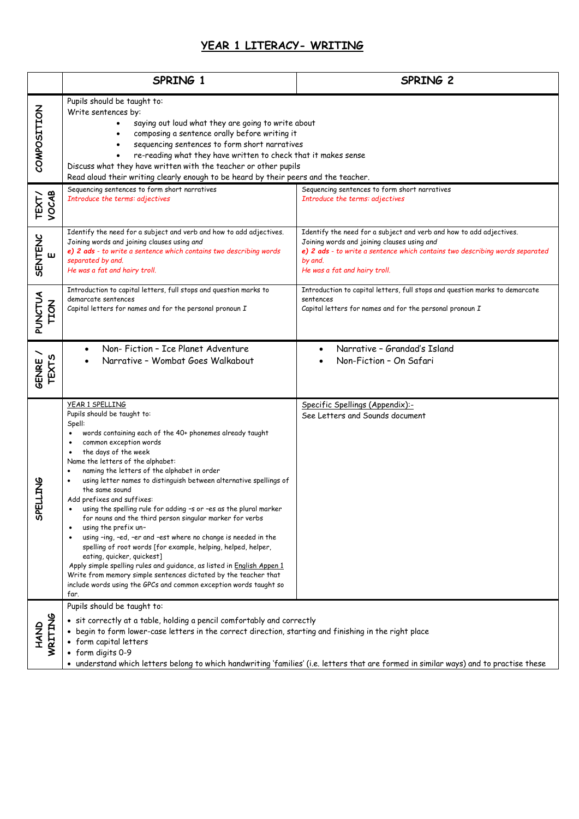## **YEAR 1 LITERACY- WRITING**

|                                | SPRING 1                                                                                                                                                                                                                                                                                                                                                                                                                                                                                                                                                                                                                                                                                                                                                                                                                                                                                                                                          | SPRING 2                                                                                                                                                                                                                                       |  |
|--------------------------------|---------------------------------------------------------------------------------------------------------------------------------------------------------------------------------------------------------------------------------------------------------------------------------------------------------------------------------------------------------------------------------------------------------------------------------------------------------------------------------------------------------------------------------------------------------------------------------------------------------------------------------------------------------------------------------------------------------------------------------------------------------------------------------------------------------------------------------------------------------------------------------------------------------------------------------------------------|------------------------------------------------------------------------------------------------------------------------------------------------------------------------------------------------------------------------------------------------|--|
| COMPOSITION                    | Pupils should be taught to:<br>Write sentences by:<br>saying out loud what they are going to write about<br>composing a sentence orally before writing it<br>sequencing sentences to form short narratives<br>re-reading what they have written to check that it makes sense<br>Discuss what they have written with the teacher or other pupils<br>Read aloud their writing clearly enough to be heard by their peers and the teacher.                                                                                                                                                                                                                                                                                                                                                                                                                                                                                                            |                                                                                                                                                                                                                                                |  |
| TEXT/<br>VOCAB                 | Sequencing sentences to form short narratives<br>Introduce the terms: adjectives                                                                                                                                                                                                                                                                                                                                                                                                                                                                                                                                                                                                                                                                                                                                                                                                                                                                  | Sequencing sentences to form short narratives<br>Introduce the terms: adjectives                                                                                                                                                               |  |
| <b>SENTENC</b>                 | Identify the need for a subject and verb and how to add adjectives.<br>Joining words and joining clauses using and<br>e) 2 ads - to write a sentence which contains two describing words<br>separated by and.<br>He was a fat and hairy troll.                                                                                                                                                                                                                                                                                                                                                                                                                                                                                                                                                                                                                                                                                                    | Identify the need for a subject and verb and how to add adjectives.<br>Joining words and joining clauses using and<br>e) 2 ads - to write a sentence which contains two describing words separated<br>by and.<br>He was a fat and hairy troll. |  |
| <b>PUNCTUA</b><br><b>TION</b>  | Introduction to capital letters, full stops and question marks to<br>demarcate sentences<br>Capital letters for names and for the personal pronoun $I$                                                                                                                                                                                                                                                                                                                                                                                                                                                                                                                                                                                                                                                                                                                                                                                            | Introduction to capital letters, full stops and question marks to demarcate<br>sentences<br>Capital letters for names and for the personal pronoun I                                                                                           |  |
| <b>GENRE /</b><br><b>TEXTS</b> | Non-Fiction - Ice Planet Adventure<br>Narrative - Wombat Goes Walkabout                                                                                                                                                                                                                                                                                                                                                                                                                                                                                                                                                                                                                                                                                                                                                                                                                                                                           | Narrative - Grandad's Island<br>Non-Fiction - On Safari                                                                                                                                                                                        |  |
| <b>SNITT</b><br><b>adS</b>     | YEAR 1 SPELLING<br>Pupils should be taught to:<br>Spell:<br>words containing each of the 40+ phonemes already taught<br>common exception words<br>the days of the week<br>$\bullet$<br>Name the letters of the alphabet:<br>naming the letters of the alphabet in order<br>using letter names to distinguish between alternative spellings of<br>the same sound<br>Add prefixes and suffixes:<br>using the spelling rule for adding -s or -es as the plural marker<br>for nouns and the third person singular marker for verbs<br>using the prefix un-<br>using -ing, -ed, -er and -est where no change is needed in the<br>spelling of root words [for example, helping, helped, helper,<br>eating, quicker, quickest]<br>Apply simple spelling rules and guidance, as listed in English Appen 1<br>Write from memory simple sentences dictated by the teacher that<br>include words using the GPCs and common exception words taught so<br>far. | Specific Spellings (Appendix):-<br>See Letters and Sounds document                                                                                                                                                                             |  |
| <b>NRITING</b><br>ONAH         | Pupils should be taught to:<br>• sit correctly at a table, holding a pencil comfortably and correctly<br>• begin to form lower-case letters in the correct direction, starting and finishing in the right place<br>• form capital letters<br>• form digits 0-9<br>• understand which letters belong to which handwriting 'families' (i.e. letters that are formed in similar ways) and to practise these                                                                                                                                                                                                                                                                                                                                                                                                                                                                                                                                          |                                                                                                                                                                                                                                                |  |